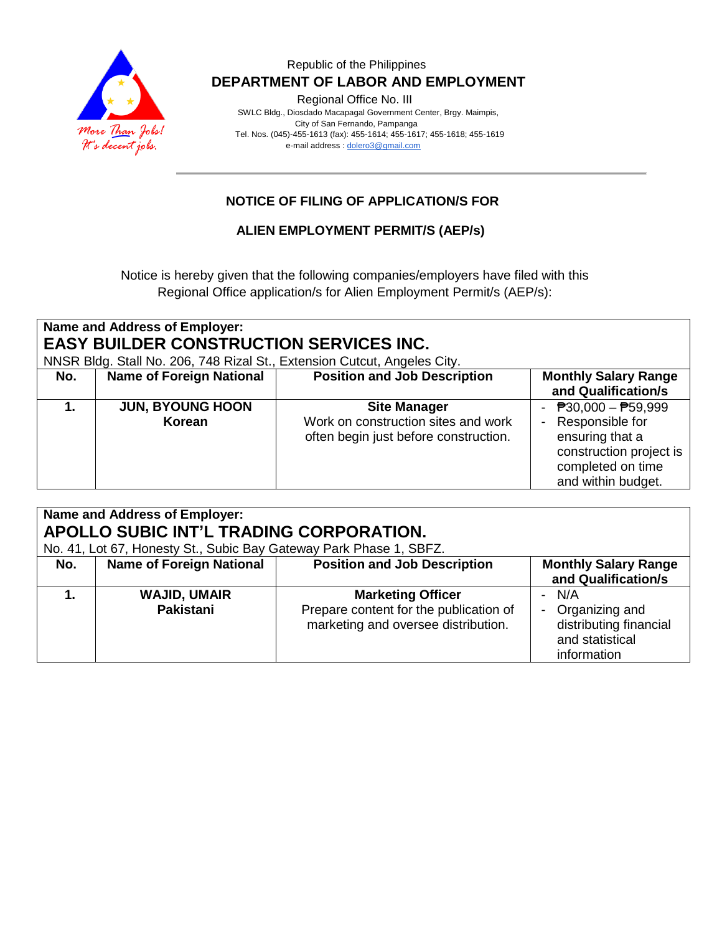

#### Republic of the Philippines  **DEPARTMENT OF LABOR AND EMPLOYMENT**

Regional Office No. III

 SWLC Bldg., Diosdado Macapagal Government Center, Brgy. Maimpis, City of San Fernando, Pampanga Tel. Nos. (045)-455-1613 (fax): 455-1614; 455-1617; 455-1618; 455-1619 e-mail address [: dolero3@gmail.com](mailto:dolero3@gmail.com)

## **NOTICE OF FILING OF APPLICATION/S FOR**

#### **ALIEN EMPLOYMENT PERMIT/S (AEP/s)**

Notice is hereby given that the following companies/employers have filed with this Regional Office application/s for Alien Employment Permit/s (AEP/s):

| Name and Address of Employer:                                            |                                 |                                       |                                             |  |  |  |  |
|--------------------------------------------------------------------------|---------------------------------|---------------------------------------|---------------------------------------------|--|--|--|--|
| <b>EASY BUILDER CONSTRUCTION SERVICES INC.</b>                           |                                 |                                       |                                             |  |  |  |  |
| NNSR Bldg. Stall No. 206, 748 Rizal St., Extension Cutcut, Angeles City. |                                 |                                       |                                             |  |  |  |  |
| No.                                                                      | <b>Name of Foreign National</b> | <b>Position and Job Description</b>   | <b>Monthly Salary Range</b>                 |  |  |  |  |
|                                                                          |                                 |                                       | and Qualification/s                         |  |  |  |  |
|                                                                          | <b>JUN, BYOUNG HOON</b>         | <b>Site Manager</b>                   | - $\overline{P}30,000 - \overline{P}59,999$ |  |  |  |  |
|                                                                          | Korean                          | Work on construction sites and work   | - Responsible for                           |  |  |  |  |
|                                                                          |                                 | often begin just before construction. | ensuring that a                             |  |  |  |  |
|                                                                          |                                 |                                       | construction project is                     |  |  |  |  |
|                                                                          |                                 |                                       | completed on time                           |  |  |  |  |
|                                                                          |                                 |                                       | and within budget.                          |  |  |  |  |

| Name and Address of Employer:<br>APOLLO SUBIC INT'L TRADING CORPORATION.<br>No. 41, Lot 67, Honesty St., Subic Bay Gateway Park Phase 1, SBFZ. |                                         |                                                                                                           |                                                                                       |  |  |  |
|------------------------------------------------------------------------------------------------------------------------------------------------|-----------------------------------------|-----------------------------------------------------------------------------------------------------------|---------------------------------------------------------------------------------------|--|--|--|
| No.                                                                                                                                            | <b>Name of Foreign National</b>         | <b>Position and Job Description</b>                                                                       | <b>Monthly Salary Range</b><br>and Qualification/s                                    |  |  |  |
|                                                                                                                                                | <b>WAJID, UMAIR</b><br><b>Pakistani</b> | <b>Marketing Officer</b><br>Prepare content for the publication of<br>marketing and oversee distribution. | - N/A<br>- Organizing and<br>distributing financial<br>and statistical<br>information |  |  |  |